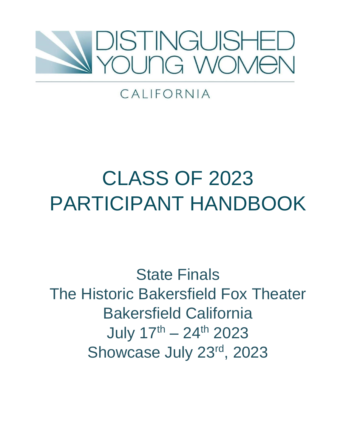

# CALIFORNIA

# CLASS OF 2023 PARTICIPANT HANDBOOK

State Finals The Historic Bakersfield Fox Theater Bakersfield California July 17<sup>th</sup> – 24<sup>th</sup> 2023 Showcase July 23rd, 2023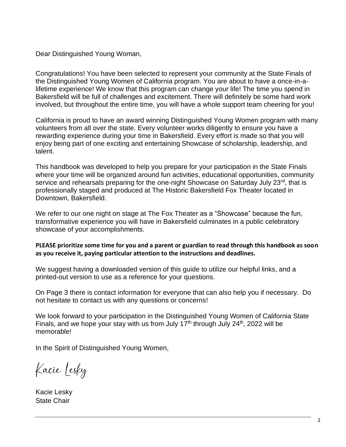Dear Distinguished Young Woman,

Congratulations! You have been selected to represent your community at the State Finals of the Distinguished Young Women of California program. You are about to have a once-in-alifetime experience! We know that this program can change your life! The time you spend in Bakersfield will be full of challenges and excitement. There will definitely be some hard work involved, but throughout the entire time, you will have a whole support team cheering for you!

California is proud to have an award winning Distinguished Young Women program with many volunteers from all over the state. Every volunteer works diligently to ensure you have a rewarding experience during your time in Bakersfield. Every effort is made so that you will enjoy being part of one exciting and entertaining Showcase of scholarship, leadership, and talent.

This handbook was developed to help you prepare for your participation in the State Finals where your time will be organized around fun activities, educational opportunities, community service and rehearsals preparing for the one-night Showcase on Saturday July 23<sup>rd</sup>, that is professionally staged and produced at The Historic Bakersfield Fox Theater located in Downtown, Bakersfield.

We refer to our one night on stage at The Fox Theater as a "Showcase" because the fun, transformative experience you will have in Bakersfield culminates in a public celebratory showcase of your accomplishments.

**PLEASE prioritize some time for you and a parent or guardian to read through this handbook as soon as you receive it, paying particular attention to the instructions and deadlines.**

We suggest having a downloaded version of this guide to utilize our helpful links, and a printed-out version to use as a reference for your questions.

On Page 3 there is contact information for everyone that can also help you if necessary. Do not hesitate to contact us with any questions or concerns!

We look forward to your participation in the Distinguished Young Women of California State Finals, and we hope your stay with us from July  $17<sup>th</sup>$  through July 24<sup>th</sup>, 2022 will be memorable!

In the Spirit of Distinguished Young Women,

Kacie Lesky

Kacie Lesky State Chair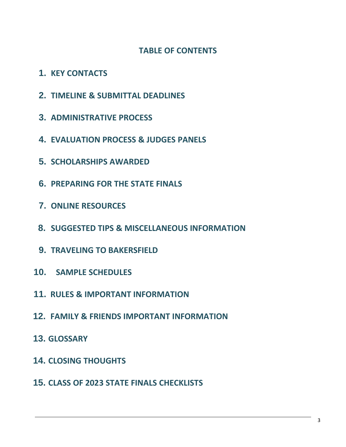# **TABLE OF CONTENTS**

- **1. KEY CONTACTS**
- **2. TIMELINE & SUBMITTAL DEADLINES**
- **3. ADMINISTRATIVE PROCESS**
- **4. EVALUATION PROCESS & JUDGES PANELS**
- **5. SCHOLARSHIPS AWARDED**
- **6. PREPARING FOR THE STATE FINALS**
- **7. ONLINE RESOURCES**
- **8. SUGGESTED TIPS & MISCELLANEOUS INFORMATION**
- **9. TRAVELING TO BAKERSFIELD**
- **10. SAMPLE SCHEDULES**
- **11. RULES & IMPORTANT INFORMATION**
- **12. FAMILY & FRIENDS IMPORTANT INFORMATION**
- **13. GLOSSARY**
- **14. CLOSING THOUGHTS**
- **15. CLASS OF 2023 STATE FINALS CHECKLISTS**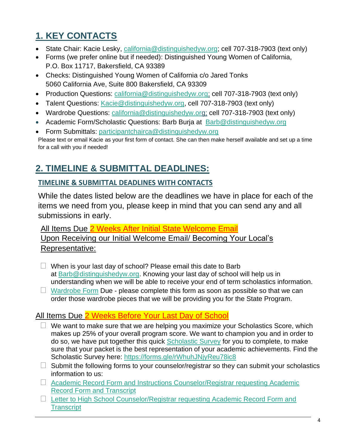# **1. KEY CONTACTS**

- State Chair: Kacie Lesky, california@distinguishedyw.org; cell 707-318-7903 (text only)
- Forms (we prefer online but if needed): Distinguished Young Women of California, P.O. Box 11717, Bakersfield, CA 93389
- Checks: Distinguished Young Women of California c/o Jared Tonks 5060 California Ave, Suite 800 Bakersfield, CA 93309
- Production Questions: california@distinguishedyw.org; cell 707-318-7903 (text only)
- Talent Questions: Kacie@distinguishedyw.org, cell 707-318-7903 (text only)
- Wardrobe Questions: california@distinguishedyw.org; cell 707-318-7903 (text only)
- Academic Form/Scholastic Questions: Barb Burja at [Barb@distinguishedyw.org](mailto:Barb@distinguishedyw.org)
- Form Submittals: participantchairca@distinguishedyw.org

Please text or email Kacie as your first form of contact. She can then make herself available and set up a time for a call with you if needed!

# **2. TIMELINE & SUBMITTAL DEADLINES:**

# **TIMELINE & SUBMITTAL DEADLINES WITH CONTACTS**

While the dates listed below are the deadlines we have in place for each of the items we need from you, please keep in mind that you can send any and all submissions in early.

All Items Due 2 Weeks After Initial State Welcome Email Upon Receiving our Initial Welcome Email/ Becoming Your Local's Representative:

- **•** When is your last day of school? Please email this date to Barb at [Barb@distinguishedyw.org.](mailto:Barb@distinguishedyw.org) Knowing your last day of school will help us in understanding when we will be able to receive your end of term scholastics information.
- **•** [Wardrobe Form](https://forms.gle/8VSRNwNvp5Cc3VVF8) Due please complete this form as soon as possible so that we can order those wardrobe pieces that we will be providing you for the State Program.

# All Items Due 2 Weeks Before Your Last Day of School

- **•** We want to make sure that we are helping you maximize your Scholastics Score, which makes up 25% of your overall program score. We want to champion you and in order to do so, we have put together this quick [Scholastic Survey](https://docs.google.com/forms/d/e/1FAIpQLSfdKNj4nQG02sV12OR8ZCATJKtVfN0lxJudpGD25k7Zx_MPjA/viewform?usp=sf_link) for you to complete, to make sure that your packet is the best representation of your academic achievements. Find the Scholastic Survey here:<https://forms.gle/rWhuhJNjyReu78ic8>
- **•** Submit the following forms to your counselor/registrar so they can submit your scholastics information to us:
- **•** [Academic Record Form and Instructions Counselor/Registrar requesting Academic](http://ca.distinguishedyw.org/wp-content/uploads/sites/5/2016/04/Academic-Form-Instructions-Class-of-2023-State.pdf)  [Record Form and Transcript](http://ca.distinguishedyw.org/wp-content/uploads/sites/5/2016/04/Academic-Form-Instructions-Class-of-2023-State.pdf)
- **•** [Letter to High School Counselor/Registrar requesting Academic Record Form and](http://ca.distinguishedyw.org/wp-content/uploads/sites/5/2016/04/Letter-to-High-School-CounselorRegistrar-requesting-Academic-Record-Form-and-Transcript.pdf)  **[Transcript](http://ca.distinguishedyw.org/wp-content/uploads/sites/5/2016/04/Letter-to-High-School-CounselorRegistrar-requesting-Academic-Record-Form-and-Transcript.pdf)**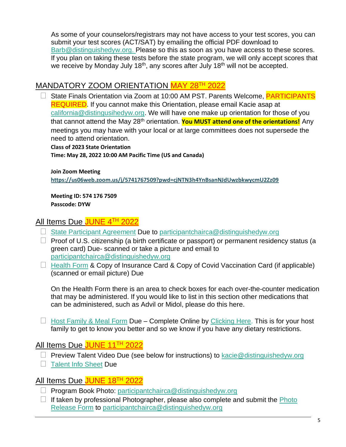As some of your counselors/registrars may not have access to your test scores, you can submit your test scores (ACT/SAT) by emailing the official PDF download to [Barb@distinguishedyw.org.](mailto:Barb@distinguishedyw.org) Please so this as soon as you have access to these scores. If you plan on taking these tests before the state program, we will only accept scores that we receive by Monday July 18<sup>th</sup>, any scores after July 18<sup>th</sup> will not be accepted.

# MANDATORY ZOOM ORIENTATION MAY 28<sup>TH</sup> 2022

**•** State Finals Orientation via Zoom at 10:00 AM PST. Parents Welcome, PARTICIPANTS REQUIRED. If you cannot make this Orientation, please email Kacie asap at [california@distingusihedyw.org.](mailto:california@distingusihedyw.org) We will have one make up orientation for those of you that cannot attend the May 28<sup>th</sup> orientation. **You MUST attend one of the orientations!** Any meetings you may have with your local or at large committees does not supersede the need to attend orientation.

**Class of 2023 State Orientation**

**Time: May 28, 2022 10:00 AM Pacific Time (US and Canada)**

**Join Zoom Meeting <https://us06web.zoom.us/j/5741767509?pwd=cjNTN3h4YnBsanNJdUwzbkwycmU2Zz09>**

**Meeting ID: 574 176 7509 Passcode: DYW**

# All Items Due JUNE 4TH 2022

- **•** [State Participant Agreement](http://ca.distinguishedyw.org/wp-content/uploads/sites/5/2016/04/2023-State-Participant-Agreement_eSign_3.2022.pdf) Due to [participantchairca@distinguishedyw.org](mailto:participantchairca@distinguishedyw.org)
- **•** Proof of U.S. citizenship (a birth certificate or passport) or permanent residency status (a green card) Due- scanned or take a picture and email to [participantchairca@distinguishedyw.org](mailto:participantchairca@distinguishedyw.org)
- **•** [Health Form](http://ca.distinguishedyw.org/wp-content/uploads/sites/5/2016/04/Health-Form_04.2021.pdf) & Copy of Insurance Card & Copy of Covid Vaccination Card (if applicable) (scanned or email picture) Due

On the Health Form there is an area to check boxes for each over-the-counter medication that may be administered. If you would like to list in this section other medications that can be administered, such as Advil or Midol, please do this here.

**•** [Host Family & Meal Form](https://docs.google.com/forms/d/e/1FAIpQLSevUxzlaLsy0EfH49p3LENBeQwCsZzY2TbQs7vyuppiNgH16A/viewform?usp=sf_link) Due – Complete Online by [Clicking Here.](https://docs.google.com/forms/d/e/1FAIpQLSevUxzlaLsy0EfH49p3LENBeQwCsZzY2TbQs7vyuppiNgH16A/viewform?usp=sf_link) This is for your host family to get to know you better and so we know if you have any dietary restrictions.

# All Items Due JUNE 11<sup>TH</sup> 2022

- **•** Preview Talent Video Due (see below for instructions) to [kacie@distinguishedyw.org](mailto:kacie@distinguishedyw.org)
- **•** [Talent Info Sheet](https://docs.google.com/forms/d/e/1FAIpQLScPbDN5FDjekd2sGh-MhvLnSncbX2lfQdYtmRGfAo6mwbD4Wg/viewform?usp=sf_link) Due

# All Items Due JUNE 18TH 2022

- **•** Program Book Photo: [participantchairca@distinguishedyw.org](mailto:participantchairca@distinguishedyw.org)
- **•** If taken by professional Photographer, please also complete and submit the [Photo](http://ca.distinguishedyw.org/wp-content/uploads/sites/5/2016/04/Photo-Release-DYW-CA.pdf)  [Release Form](http://ca.distinguishedyw.org/wp-content/uploads/sites/5/2016/04/Photo-Release-DYW-CA.pdf) to [participantchairca@distinguishedyw.org](mailto:participantchairca@distinguishedyw.org)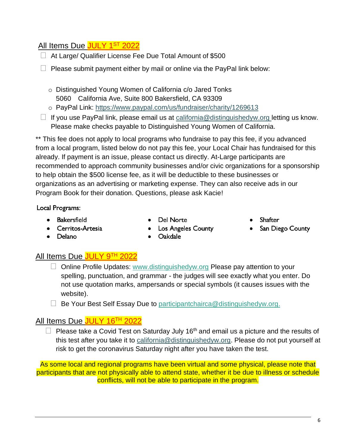# All Items Due <mark>JULY 1<sup>st</sup> 2022</mark>

- **•** At Large/ Qualifier License Fee Due Total Amount of \$500
- **•** Please submit payment either by mail or online via the PayPal link below:
	- o Distinguished Young Women of California c/o Jared Tonks 5060 California Ave, Suite 800 Bakersfield, CA 93309
	- o PayPal Link:<https://www.paypal.com/us/fundraiser/charity/1269613>
- **•** If you use PayPal link, please email us at [california@distinguishedyw.org](mailto:california@distinguishedyw.org) letting us know. Please make checks payable to Distinguished Young Women of California.

\*\* This fee does not apply to local programs who fundraise to pay this fee, if you advanced from a local program, listed below do not pay this fee, your Local Chair has fundraised for this already. If payment is an issue, please contact us directly. At-Large participants are recommended to approach community businesses and/or civic organizations for a sponsorship to help obtain the \$500 license fee, as it will be deductible to these businesses or organizations as an advertising or marketing expense. They can also receive ads in our Program Book for their donation. Questions, please ask Kacie!

Local Programs:

- Bakersfield
- Cerritos-Artesia
- Del Norte
- **Shafter**
- San Diego County

• Delano

- **Los Angeles County** Oakdale
- All Items Due JULY 9TH 2022
	- **•** Online Profile Updates: [www.distinguishedyw.org](http://www.distinguishedyw.org/) Please pay attention to your spelling, punctuation, and grammar - the judges will see exactly what you enter. Do not use quotation marks, ampersands or special symbols (it causes issues with the website).
	- **•** Be Your Best Self Essay Due to [participantchairca@distinguishedyw.org.](mailto:participantchairca@distinguishedyw.org)

# All Items Due JULY 16<sup>TH</sup> 2022

**•** Please take a Covid Test on Saturday July 16th and email us a picture and the results of this test after you take it to [california@distinguishedyw.org.](mailto:california@distinguishedyw.org) Please do not put yourself at risk to get the coronavirus Saturday night after you have taken the test.

As some local and regional programs have been virtual and some physical, please note that participants that are not physically able to attend state, whether it be due to illness or schedule conflicts, will not be able to participate in the program.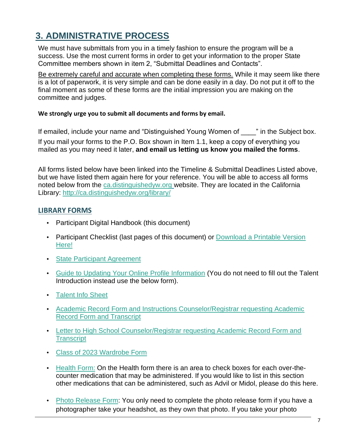# **3. ADMINISTRATIVE PROCESS**

We must have submittals from you in a timely fashion to ensure the program will be a success. Use the most current forms in order to get your information to the proper State Committee members shown in item 2, "Submittal Deadlines and Contacts".

Be extremely careful and accurate when completing these forms. While it may seem like there is a lot of paperwork, it is very simple and can be done easily in a day. Do not put it off to the final moment as some of these forms are the initial impression you are making on the committee and judges.

#### **We strongly urge you to submit all documents and forms by email.**

If emailed, include your name and "Distinguished Young Women of The Subject box. If you mail your forms to the P.O. Box shown in Item 1.1, keep a copy of everything you mailed as you may need it later, **and email us letting us know you mailed the forms**.

All forms listed below have been linked into the Timeline & Submittal Deadlines Listed above, but we have listed them again here for your reference. You will be able to access all forms noted below from the ca.distinguishedyw.org website. They are located in the California Library[:](http://ca.distinguishedyw.org/librar) [http://ca.distinguishedyw.org/libr](http://ca.distinguishedyw.org/librar)[ary/](http://ca.distinguishedyw.org/library/) 

#### **LIBRARY FORMS**

- Participant Digital Handbook (this document)
- Participant Checklist (last pages of this document) or Download a Printable Version [Here!](http://ca.distinguishedyw.org/wp-content/uploads/sites/5/2016/04/Class-of-2023-CHECKLISTS.pdf)
- [State Participant Agreement](http://ca.distinguishedyw.org/wp-content/uploads/sites/5/2016/04/2023-State-Participant-Agreement_eSign_3.2022.pdf)
- [Guide to Updating Your Online Profile Information](http://ca.distinguishedyw.org/wp-content/uploads/sites/5/2016/04/Particpant-Guide-to-Online-Forms.pdf) (You do not need to fill out the Talent Introduction instead use the below form).
- [Talent Info Sheet](https://docs.google.com/forms/d/e/1FAIpQLScPbDN5FDjekd2sGh-MhvLnSncbX2lfQdYtmRGfAo6mwbD4Wg/viewform?usp=sf_link)
- [Academic Record Form and Instructions Counselor/Registrar requesting Academic](http://ca.distinguishedyw.org/wp-content/uploads/sites/5/2016/04/Academic-Form-Instructions-Class-of-2023-State.pdf)  [Record Form and Transcript](http://ca.distinguishedyw.org/wp-content/uploads/sites/5/2016/04/Academic-Form-Instructions-Class-of-2023-State.pdf)
- [Letter to High School Counselor/Registrar requesting Academic Record Form and](http://ca.distinguishedyw.org/wp-content/uploads/sites/5/2016/04/Letter-to-High-School-CounselorRegistrar-requesting-Academic-Record-Form-and-Transcript.pdf)  **Transcript**
- [Class of 2023 Wardrobe Form](https://forms.gle/8VSRNwNvp5Cc3VVF8)
- [Health Form:](http://ca.distinguishedyw.org/wp-content/uploads/sites/5/2016/04/Health-Form_04.2021.pdf) On the Health form there is an area to check boxes for each over-thecounter medication that may be administered. If you would like to list in this section other medications that can be administered, such as Advil or Midol, please do this here.
- [Photo Release Form:](http://ca.distinguishedyw.org/wp-content/uploads/sites/5/2016/04/Photo-Release-DYW-CA.pdf) You only need to complete the photo release form if you have a photographer take your headshot, as they own that photo. If you take your photo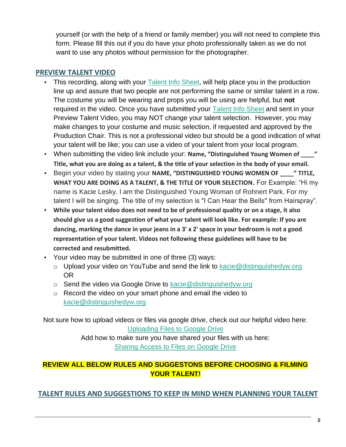yourself (or with the help of a friend or family member) you will not need to complete this form. Please fill this out if you do have your photo professionally taken as we do not want to use any photos without permission for the photographer.

## **PREVIEW TALENT VIDEO**

- This recording, along with your [Talent Info Sheet,](https://docs.google.com/forms/d/e/1FAIpQLScPbDN5FDjekd2sGh-MhvLnSncbX2lfQdYtmRGfAo6mwbD4Wg/viewform?usp=sf_link) will help place you in the production line up and assure that two people are not performing the same or similar talent in a row. The costume you will be wearing and props you will be using are helpful, but **not** required in the video. Once you have submitted your [Talent Info Sheet](https://docs.google.com/forms/d/e/1FAIpQLScPbDN5FDjekd2sGh-MhvLnSncbX2lfQdYtmRGfAo6mwbD4Wg/viewform?usp=sf_link) and sent in your Preview Talent Video, you may NOT change your talent selection. However, you may make changes to your costume and music selection, if requested and approved by the Production Chair. This is not a professional video but should be a good indication of what your talent will be like; you can use a video of your talent from your local program.
- When submitting the video link include your: Name, "Distinguished Young Women of  $\blacksquare$ " **Title, what you are doing as a talent, & the title of your selection in the body of your email.**
- Begin your video by stating your **NAME, "DISTINGUISHED YOUNG WOMEN OF \_\_\_\_" TITLE, WHAT YOU ARE DOING AS A TALENT, & THE TITLE OF YOUR SELECTION.** For Example: "Hi my name is Kacie Lesky. I am the Distinguished Young Woman of Rohnert Park. For my talent I will be singing. The title of my selection is "I Can Hear the Bells" from Hairspray".
- **While your talent video does not need to be of professional quality or on a stage, it also should give us a good suggestion of what your talent will look like. For example: If you are dancing, marking the dance in your jeans in a 3' x 2' space in your bedroom is not a good representation of your talent. Videos not following these guidelines will have to be corrected and resubmitted.**
- Your video may be submitted in one of three (3) ways:
	- $\circ$  Upload your video on YouTube and send the link to kacie @distinguishedyw.org OR
	- o Send the video via Google Drive to [kacie@distinguishedyw.org](mailto:kacie@distinguishedyw.org)
	- o Record the video on your smart phone and email the video to [kacie@distinguishedyw.org](mailto:kacie@distinguishedyw.org)

Not sure how to upload videos or files via google drive, check out our helpful video here: [Uploading Files to Google Drive](https://youtu.be/V750gtgnIa4)

Add how to make sure you have shared your files with us here: [Sharing Access to Files on Google Drive](https://youtu.be/O5rLSkx6vg8)

# **REVIEW ALL BELOW RULES AND SUGGESTONS BEFORE CHOOSING & FILMING YOUR TALENT!**

**TALENT RULES AND SUGGESTIONS TO KEEP IN MIND WHEN PLANNING YOUR TALENT**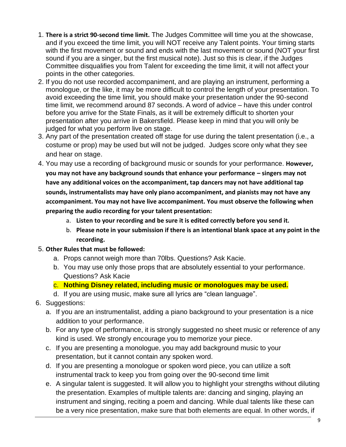- 1. **There is a strict 90-second time limit.** The Judges Committee will time you at the showcase, and if you exceed the time limit, you will NOT receive any Talent points. Your timing starts with the first movement or sound and ends with the last movement or sound (NOT your first sound if you are a singer, but the first musical note). Just so this is clear, if the Judges Committee disqualifies you from Talent for exceeding the time limit, it will not affect your points in the other categories.
- 2. If you do not use recorded accompaniment, and are playing an instrument, performing a monologue, or the like, it may be more difficult to control the length of your presentation. To avoid exceeding the time limit, you should make your presentation under the 90-second time limit, we recommend around 87 seconds. A word of advice – have this under control before you arrive for the State Finals, as it will be extremely difficult to shorten your presentation after you arrive in Bakersfield. Please keep in mind that you will only be judged for what you perform live on stage.
- 3. Any part of the presentation created off stage for use during the talent presentation (i.e., a costume or prop) may be used but will not be judged. Judges score only what they see and hear on stage.
- 4. You may use a recording of background music or sounds for your performance. **However, you may not have any background sounds that enhance your performance – singers may not have any additional voices on the accompaniment, tap dancers may not have additional tap sounds, instrumentalists may have only piano accompaniment, and pianists may not have any accompaniment. You may not have live accompaniment. You must observe the following when preparing the audio recording for your talent presentation:** 
	- a. **Listen to your recording and be sure it is edited correctly before you send it.**
	- b. **Please note in your submission if there is an intentional blank space at any point in the recording.**

## 5. **Other Rules that must be followed:**

- a. Props cannot weigh more than 70lbs. Questions? Ask Kacie.
- b. You may use only those props that are absolutely essential to your performance. Questions? Ask Kacie
- c. **Nothing Disney related, including music or monologues may be used.**
- d. If you are using music, make sure all lyrics are "clean language".
- 6. Suggestions:
	- a. If you are an instrumentalist, adding a piano background to your presentation is a nice addition to your performance.
	- b. For any type of performance, it is strongly suggested no sheet music or reference of any kind is used. We strongly encourage you to memorize your piece.
	- c. If you are presenting a monologue, you may add background music to your presentation, but it cannot contain any spoken word.
	- d. If you are presenting a monologue or spoken word piece, you can utilize a soft instrumental track to keep you from going over the 90-second time limit
	- e. A singular talent is suggested. It will allow you to highlight your strengths without diluting the presentation. Examples of multiple talents are: dancing and singing, playing an instrument and singing, reciting a poem and dancing. While dual talents like these can be a very nice presentation, make sure that both elements are equal. In other words, if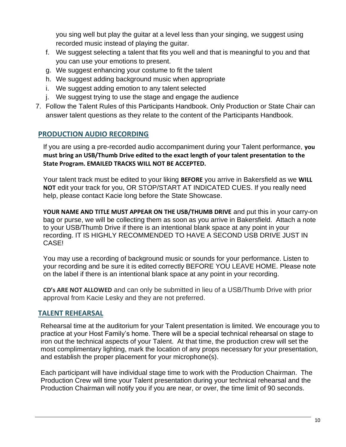you sing well but play the guitar at a level less than your singing, we suggest using recorded music instead of playing the guitar.

- f. We suggest selecting a talent that fits you well and that is meaningful to you and that you can use your emotions to present.
- g. We suggest enhancing your costume to fit the talent
- h. We suggest adding background music when appropriate
- i. We suggest adding emotion to any talent selected
- j. We suggest trying to use the stage and engage the audience
- 7. Follow the Talent Rules of this Participants Handbook. Only Production or State Chair can answer talent questions as they relate to the content of the Participants Handbook.

# **PRODUCTION AUDIO RECORDING**

If you are using a pre-recorded audio accompaniment during your Talent performance, **you must bring an USB/Thumb Drive edited to the exact length of your talent presentation to the State Program. EMAILED TRACKS WILL NOT BE ACCEPTED.**

Your talent track must be edited to your liking **BEFORE** you arrive in Bakersfield as we **WILL NOT** edit your track for you, OR STOP/START AT INDICATED CUES. If you really need help, please contact Kacie long before the State Showcase.

**YOUR NAME AND TITLE MUST APPEAR ON THE USB/THUMB DRIVE** and put this in your carry-on bag or purse, we will be collecting them as soon as you arrive in Bakersfield. Attach a note to your USB/Thumb Drive if there is an intentional blank space at any point in your recording. IT IS HIGHLY RECOMMENDED TO HAVE A SECOND USB DRIVE JUST IN CASE!

You may use a recording of background music or sounds for your performance. Listen to your recording and be sure it is edited correctly BEFORE YOU LEAVE HOME. Please note on the label if there is an intentional blank space at any point in your recording.

**CD's ARE NOT ALLOWED** and can only be submitted in lieu of a USB/Thumb Drive with prior approval from Kacie Lesky and they are not preferred.

## **TALENT REHEARSAL**

Rehearsal time at the auditorium for your Talent presentation is limited. We encourage you to practice at your Host Family's home. There will be a special technical rehearsal on stage to iron out the technical aspects of your Talent. At that time, the production crew will set the most complimentary lighting, mark the location of any props necessary for your presentation, and establish the proper placement for your microphone(s).

Each participant will have individual stage time to work with the Production Chairman. The Production Crew will time your Talent presentation during your technical rehearsal and the Production Chairman will notify you if you are near, or over, the time limit of 90 seconds.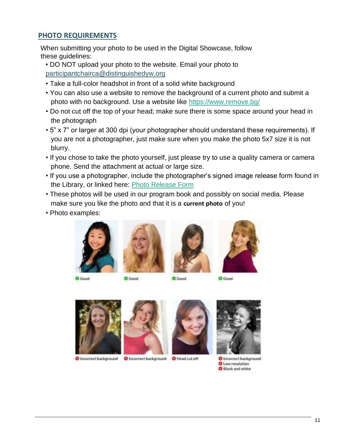#### **PHOTO REQUIREMENTS**

When submitting your photo to be used in the Digital Showcase, follow these guidelines:

- DO NOT upload your photo to the website. Email your photo to participantchairca@distinguishedyw.org
- Take a full-color headshot in front of a solid white background
- You can also use a website to remove the background of a current photo and submit a photo with no background. Use a website like<https://www.remove.bg/>
- Do not cut off the top of your head; make sure there is some space around your head in the photograph
- 5" x 7" or larger at 300 dpi (your photographer should understand these requirements). If you are not a photographer, just make sure when you make the photo 5x7 size it is not blurry.
- If you chose to take the photo yourself, just please try to use a quality camera or camera phone. Send the attachment at actual or large size.
- If you use a photographer, include the photographer's signed image release form found in the Library, or linked here: [Photo Release Form](http://ca.distinguishedyw.org/wp-content/uploads/sites/5/2016/04/Photo-Release-DYW-CA.pdf)
- These photos will be used in our program book and possibly on social media. Please make sure you like the photo and that it is a **current photo** of you!
- Photo examples:









**O** Good

**O** Good

**O** Good

**O** Good



C Incorrect background C Incorrect background C Head cut off







**O** Incorrect background **O** Low resolution Black and white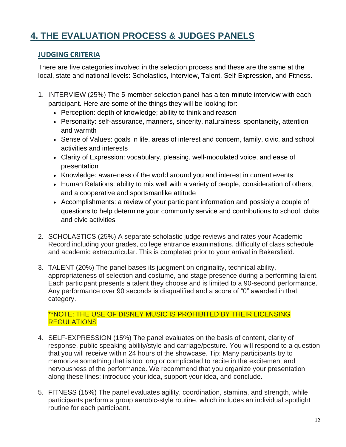# **4. THE EVALUATION PROCESS & JUDGES PANELS**

## **JUDGING CRITERIA**

There are five categories involved in the selection process and these are the same at the local, state and national levels: Scholastics, Interview, Talent, Self-Expression, and Fitness.

- 1. INTERVIEW (25%) The 5-member selection panel has a ten-minute interview with each participant. Here are some of the things they will be looking for:
	- Perception: depth of knowledge; ability to think and reason
	- Personality: self-assurance, manners, sincerity, naturalness, spontaneity, attention and warmth
	- Sense of Values: goals in life, areas of interest and concern, family, civic, and school activities and interests
	- Clarity of Expression: vocabulary, pleasing, well-modulated voice, and ease of presentation
	- Knowledge: awareness of the world around you and interest in current events
	- Human Relations: ability to mix well with a variety of people, consideration of others, and a cooperative and sportsmanlike attitude
	- Accomplishments: a review of your participant information and possibly a couple of questions to help determine your community service and contributions to school, clubs and civic activities
- 2. SCHOLASTICS (25%) A separate scholastic judge reviews and rates your Academic Record including your grades, college entrance examinations, difficulty of class schedule and academic extracurricular. This is completed prior to your arrival in Bakersfield.
- 3. TALENT (20%) The panel bases its judgment on originality, technical ability, appropriateness of selection and costume, and stage presence during a performing talent. Each participant presents a talent they choose and is limited to a 90-second performance. Any performance over 90 seconds is disqualified and a score of "0" awarded in that category.

#### \*\*NOTE: THE USE OF DISNEY MUSIC IS PROHIBITED BY THEIR LICENSING **REGULATIONS**

- 4. SELF-EXPRESSION (15%) The panel evaluates on the basis of content, clarity of response, public speaking ability/style and carriage/posture. You will respond to a question that you will receive within 24 hours of the showcase. Tip: Many participants try to memorize something that is too long or complicated to recite in the excitement and nervousness of the performance. We recommend that you organize your presentation along these lines: introduce your idea, support your idea, and conclude.
- 5. FITNESS (15%) The panel evaluates agility, coordination, stamina, and strength, while participants perform a group aerobic-style routine, which includes an individual spotlight routine for each participant.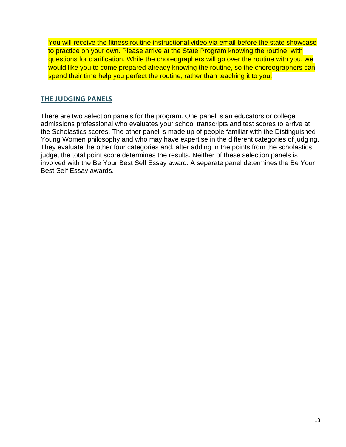You will receive the fitness routine instructional video via email before the state showcase to practice on your own. Please arrive at the State Program knowing the routine, with questions for clarification. While the choreographers will go over the routine with you, we would like you to come prepared already knowing the routine, so the choreographers can spend their time help you perfect the routine, rather than teaching it to you.

## **THE JUDGING PANELS**

There are two selection panels for the program. One panel is an educators or college admissions professional who evaluates your school transcripts and test scores to arrive at the Scholastics scores. The other panel is made up of people familiar with the Distinguished Young Women philosophy and who may have expertise in the different categories of judging. They evaluate the other four categories and, after adding in the points from the scholastics judge, the total point score determines the results. Neither of these selection panels is involved with the Be Your Best Self Essay award. A separate panel determines the Be Your Best Self Essay awards.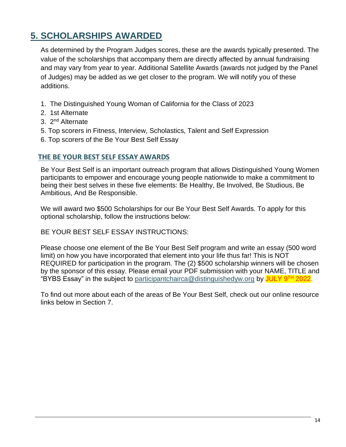# **5. SCHOLARSHIPS AWARDED**

As determined by the Program Judges scores, these are the awards typically presented. The value of the scholarships that accompany them are directly affected by annual fundraising and may vary from year to year. Additional Satellite Awards (awards not judged by the Panel of Judges) may be added as we get closer to the program. We will notify you of these additions.

- 1. The Distinguished Young Woman of California for the Class of 2023
- 2. 1st Alternate
- 3. 2nd Alternate
- 5. Top scorers in Fitness, Interview, Scholastics, Talent and Self Expression
- 6. Top scorers of the Be Your Best Self Essay

#### **THE BE YOUR BEST SELF ESSAY AWARDS**

Be Your Best Self is an important outreach program that allows Distinguished Young Women participants to empower and encourage young people nationwide to make a commitment to being their best selves in these five elements: Be Healthy, Be Involved, Be Studious, Be Ambitious, And Be Responsible.

We will award two \$500 Scholarships for our Be Your Best Self Awards. To apply for this optional scholarship, follow the instructions below:

BE YOUR BEST SELF ESSAY INSTRUCTIONS:

Please choose one element of the Be Your Best Self program and write an essay (500 word limit) on how you have incorporated that element into your life thus far! This is NOT REQUIRED for participation in the program. The (2) \$500 scholarship winners will be chosen by the sponsor of this essay. Please email your PDF submission with your NAME, TITLE and "BYBS Essay" in the subject to participantchairca@distinguishedyw.org by JULY 9<sup>TH</sup> 2022.

To find out more about each of the areas of Be Your Best Self, check out our online resource links below in Section 7.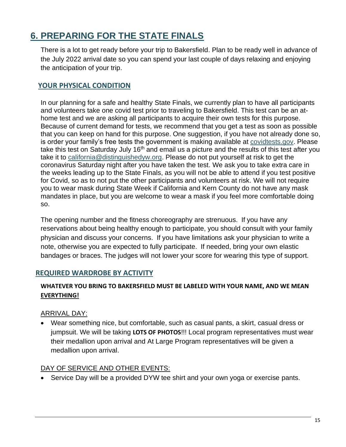# **6. PREPARING FOR THE STATE FINALS**

There is a lot to get ready before your trip to Bakersfield. Plan to be ready well in advance of the July 2022 arrival date so you can spend your last couple of days relaxing and enjoying the anticipation of your trip.

# **YOUR PHYSICAL CONDITION**

In our planning for a safe and healthy State Finals, we currently plan to have all participants and volunteers take one covid test prior to traveling to Bakersfield. This test can be an athome test and we are asking all participants to acquire their own tests for this purpose. Because of current demand for tests, we recommend that you get a test as soon as possible that you can keep on hand for this purpose. One suggestion, if you have not already done so, is order your family's free tests the government is making available at [covidtests.gov.](https://www.covidtests.gov/) Please take this test on Saturday July 16<sup>th</sup> and email us a picture and the results of this test after you take it to [california@distinguishedyw.org.](mailto:california@distinguishedyw.org) Please do not put yourself at risk to get the coronavirus Saturday night after you have taken the test. We ask you to take extra care in the weeks leading up to the State Finals, as you will not be able to attend if you test positive for Covid, so as to not put the other participants and volunteers at risk. We will not require you to wear mask during State Week if California and Kern County do not have any mask mandates in place, but you are welcome to wear a mask if you feel more comfortable doing so.

The opening number and the fitness choreography are strenuous. If you have any reservations about being healthy enough to participate, you should consult with your family physician and discuss your concerns. If you have limitations ask your physician to write a note, otherwise you are expected to fully participate. If needed, bring your own elastic bandages or braces. The judges will not lower your score for wearing this type of support.

## **REQUIRED WARDROBE BY ACTIVITY**

#### **WHATEVER YOU BRING TO BAKERSFIELD MUST BE LABELED WITH YOUR NAME, AND WE MEAN EVERYTHING!**

## ARRIVAL DAY:

• Wear something nice, but comfortable, such as casual pants, a skirt, casual dress or jumpsuit. We will be taking **LOTS OF PHOTOS**!!! Local program representatives must wear their medallion upon arrival and At Large Program representatives will be given a medallion upon arrival.

#### DAY OF SERVICE AND OTHER EVENTS:

• Service Day will be a provided DYW tee shirt and your own yoga or exercise pants.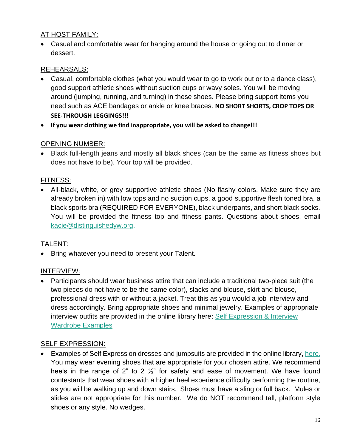## AT HOST FAMILY:

• Casual and comfortable wear for hanging around the house or going out to dinner or dessert.

# REHEARSALS:

- Casual, comfortable clothes (what you would wear to go to work out or to a dance class), good support athletic shoes without suction cups or wavy soles. You will be moving around (jumping, running, and turning) in these shoes. Please bring support items you need such as ACE bandages or ankle or knee braces. **NO SHORT SHORTS, CROP TOPS OR SEE-THROUGH LEGGINGS!!!**
- **If you wear clothing we find inappropriate, you will be asked to change!!!**

## OPENING NUMBER:

• Black full-length jeans and mostly all black shoes (can be the same as fitness shoes but does not have to be). Your top will be provided.

#### FITNESS:

• All-black, white, or grey supportive athletic shoes (No flashy colors. Make sure they are already broken in) with low tops and no suction cups, a good supportive flesh toned bra, a black sports bra (REQUIRED FOR EVERYONE), black underpants, and short black socks. You will be provided the fitness top and fitness pants. Questions about shoes, email [kacie@distinguishedyw.org.](mailto:kacie@distinguishedyw.org)

#### TALENT:

• Bring whatever you need to present your Talent.

## INTERVIEW:

• Participants should wear business attire that can include a traditional two-piece suit (the two pieces do not have to be the same color), slacks and blouse, skirt and blouse, professional dress with or without a jacket. Treat this as you would a job interview and dress accordingly. Bring appropriate shoes and minimal jewelry. Examples of appropriate interview outfits are provided in the online library here: [Self Expression & Interview](http://ca.distinguishedyw.org/wp-content/uploads/sites/5/2016/04/2023-Wardrobe-Options-for-Participants.pdf)  [Wardrobe Examples](http://ca.distinguishedyw.org/wp-content/uploads/sites/5/2016/04/2023-Wardrobe-Options-for-Participants.pdf)

## SELF EXPRESSION:

• Examples of Self Expression dresses and jumpsuits are provided in the online library[, here.](http://ca.distinguishedyw.org/wp-content/uploads/sites/5/2016/04/2023-Wardrobe-Options-for-Participants.pdf) You may wear evening shoes that are appropriate for your chosen attire. We recommend heels in the range of 2" to 2  $\frac{1}{2}$ " for safety and ease of movement. We have found contestants that wear shoes with a higher heel experience difficulty performing the routine, as you will be walking up and down stairs. Shoes must have a sling or full back. Mules or slides are not appropriate for this number. We do NOT recommend tall, platform style shoes or any style. No wedges.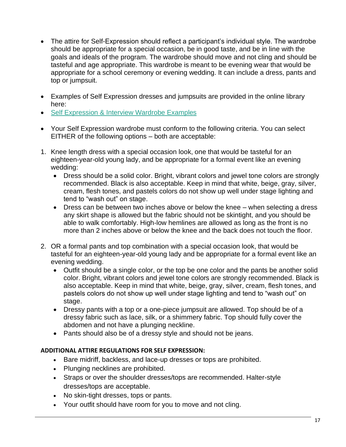- The attire for Self-Expression should reflect a participant's individual style. The wardrobe should be appropriate for a special occasion, be in good taste, and be in line with the goals and ideals of the program. The wardrobe should move and not cling and should be tasteful and age appropriate. This wardrobe is meant to be evening wear that would be appropriate for a school ceremony or evening wedding. It can include a dress, pants and top or jumpsuit.
- Examples of Self Expression dresses and jumpsuits are provided in the online library here:
- [Self Expression & Interview Wardrobe Examples](http://ca.distinguishedyw.org/wp-content/uploads/sites/5/2016/04/2023-Wardrobe-Options-for-Participants.pdf)
- Your Self Expression wardrobe must conform to the following criteria. You can select EITHER of the following options – both are acceptable:
- 1. Knee length dress with a special occasion look, one that would be tasteful for an eighteen-year-old young lady, and be appropriate for a formal event like an evening wedding:
	- Dress should be a solid color. Bright, vibrant colors and jewel tone colors are strongly recommended. Black is also acceptable. Keep in mind that white, beige, gray, silver, cream, flesh tones, and pastels colors do not show up well under stage lighting and tend to "wash out" on stage.
	- Dress can be between two inches above or below the knee when selecting a dress any skirt shape is allowed but the fabric should not be skintight, and you should be able to walk comfortably. High-low hemlines are allowed as long as the front is no more than 2 inches above or below the knee and the back does not touch the floor.
- 2. OR a formal pants and top combination with a special occasion look, that would be tasteful for an eighteen-year-old young lady and be appropriate for a formal event like an evening wedding.
	- Outfit should be a single color, or the top be one color and the pants be another solid color. Bright, vibrant colors and jewel tone colors are strongly recommended. Black is also acceptable. Keep in mind that white, beige, gray, silver, cream, flesh tones, and pastels colors do not show up well under stage lighting and tend to "wash out" on stage.
	- Dressy pants with a top or a one-piece jumpsuit are allowed. Top should be of a dressy fabric such as lace, silk, or a shimmery fabric. Top should fully cover the abdomen and not have a plunging neckline.
	- Pants should also be of a dressy style and should not be jeans.

#### **ADDITIONAL ATTIRE REGULATIONS FOR SELF EXPRESSION:**

- Bare midriff, backless, and lace-up dresses or tops are prohibited.
- Plunging necklines are prohibited.
- Straps or over the shoulder dresses/tops are recommended. Halter-style dresses/tops are acceptable.
- No skin-tight dresses, tops or pants.
- Your outfit should have room for you to move and not cling.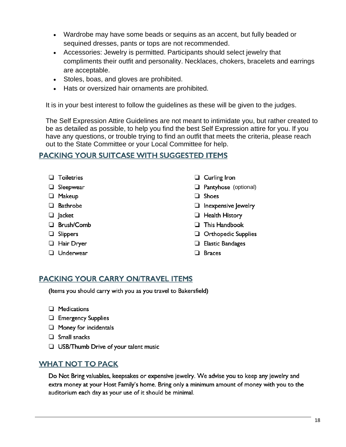- Wardrobe may have some beads or sequins as an accent, but fully beaded or sequined dresses, pants or tops are not recommended.
- Accessories: Jewelry is permitted. Participants should select jewelry that compliments their outfit and personality. Necklaces, chokers, bracelets and earrings are acceptable.
- Stoles, boas, and gloves are prohibited.
- Hats or oversized hair ornaments are prohibited.

It is in your best interest to follow the guidelines as these will be given to the judges.

The Self Expression Attire Guidelines are not meant to intimidate you, but rather created to be as detailed as possible, to help you find the best Self Expression attire for you. If you have any questions, or trouble trying to find an outfit that meets the criteria, please reach out to the State Committee or your Local Committee for help.

## PACKING YOUR SUITCASE WITH SUGGESTED ITEMS

- $\Box$  Toiletries
- Sleepwear
- **D** Makeup
- **Bathrobe**
- $\Box$  lacket
- □ Brush/Comb
- $\Box$  Slippers
- **Hair Dryer**
- **Underwear**
- $\Box$  Curling Iron
- $\Box$  Pantyhose (optional)
- **Q** Shoes
- $\Box$  Inexpensive Jewelry
- **Health History**
- $\Box$  This Handbook
- $\Box$  Orthopedic Supplies
- $\Box$  Elastic Bandages
- $\Box$  Braces

## **PACKING YOUR CARRY ON/TRAVEL ITEMS**

(Items you should carry with you as you travel to Bakersfield)

- $\Box$  Medications
- $\Box$  Emergency Supplies
- $\Box$  Money for incidentals
- $\Box$  Small snacks
- $\Box$  USB/Thumb Drive of your talent music

## **WHAT NOT TO PACK**

Do Not Bring valuables, keepsakes or expensive jewelry. We advise you to keep any jewelry and extra money at your Host Family's home. Bring only a minimum amount of money with you to the auditorium each day as your use of it should be minimal.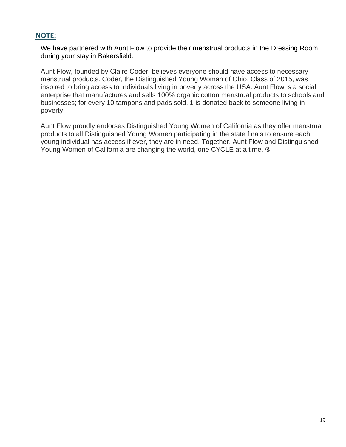#### **NOTE:**

We have partnered with Aunt Flow to provide their menstrual products in the Dressing Room during your stay in Bakersfield.

Aunt Flow, founded by Claire Coder, believes everyone should have access to necessary menstrual products. Coder, the Distinguished Young Woman of Ohio, Class of 2015, was inspired to bring access to individuals living in poverty across the USA. Aunt Flow is a social enterprise that manufactures and sells 100% organic cotton menstrual products to schools and businesses; for every 10 tampons and pads sold, 1 is donated back to someone living in poverty.

Aunt Flow proudly endorses Distinguished Young Women of California as they offer menstrual products to all Distinguished Young Women participating in the state finals to ensure each young individual has access if ever, they are in need. Together, Aunt Flow and Distinguished Young Women of California are changing the world, one CYCLE at a time. ®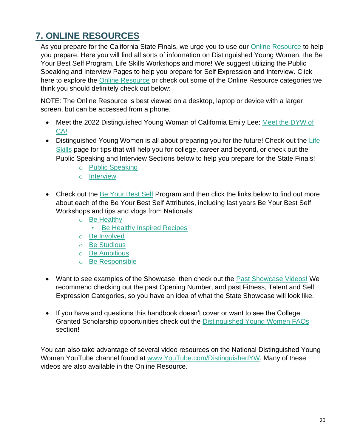# **7. ONLINE RESOURCES**

As you prepare for the California State Finals, we urge you to use our **Online Resource** to help you prepare. Here you will find all sorts of information on Distinguished Young Women, the Be Your Best Self Program, Life Skills Workshops and more! We suggest utilizing the Public Speaking and Interview Pages to help you prepare for Self Expression and Interview. Click here to explore the [Online Resource](https://distinguishedyoung.wixsite.com/dywca) or check out some of the Online Resource categories we think you should definitely check out below:

NOTE: The Online Resource is best viewed on a desktop, laptop or device with a larger screen, but can be accessed from a phone.

- Meet the 2022 Distinguished Young Woman of California Emily Lee: Meet the DYW of [CA!](https://distinguishedyoung.wixsite.com/dywca/meet-dyw-ca)
- Distinguished Young Women is all about preparing you for the future! Check out the Life [Skills](https://distinguishedyoung.wixsite.com/dywca/life-skills) page for tips that will help you for college, career and beyond, or check out the Public Speaking and Interview Sections below to help you prepare for the State Finals!
	- o [Public Speaking](https://distinguishedyoung.wixsite.com/dywca/life-skills-public-speaking)
	- o [Interview](https://distinguishedyoung.wixsite.com/dywca/life-skills-interview)
- Check out the [Be Your Best Self](https://distinguishedyoung.wixsite.com/dywca/be-your-best-self) Program and then click the links below to find out more about each of the Be Your Best Self Attributes, including last years Be Your Best Self Workshops and tips and vlogs from Nationals!
	- o [Be Healthy](https://distinguishedyoung.wixsite.com/dywca/be-healthy)
		- [Be Healthy Inspired Recipes](https://distinguishedyoung.wixsite.com/dywca/be-healthy-inspired-recipes)
	- o [Be Involved](https://distinguishedyoung.wixsite.com/dywca/be-involved)
	- o [Be Studious](https://distinguishedyoung.wixsite.com/dywca/be-studious)
	- o [Be Ambitious](https://distinguishedyoung.wixsite.com/dywca/be-ambitious)
	- o [Be Responsible](https://distinguishedyoung.wixsite.com/dywca/be-responsible)
- Want to see examples of the Showcase, then check out the [Past Showcase Videos!](https://distinguishedyoung.wixsite.com/dywca/sample-showcase-videos) We recommend checking out the past Opening Number, and past Fitness, Talent and Self Expression Categories, so you have an idea of what the State Showcase will look like.
- If you have and questions this handbook doesn't cover or want to see the College Granted Scholarship opportunities check out the [Distinguished Young Women FAQs](https://distinguishedyoung.wixsite.com/dywca/faqs) section!

You can also take advantage of several video resources on the National Distinguished Young Women YouTube channel found at [www.YouTube.com/DistinguishedYW.](http://www.youtube.com/DistinguishedYW) Many of these videos are also available in the Online Resource.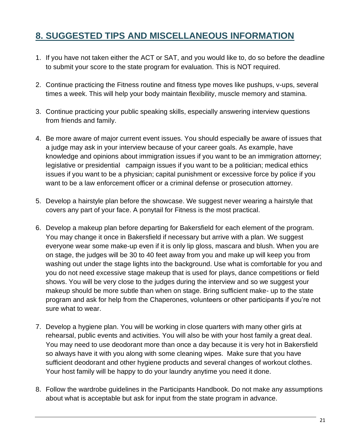# **8. SUGGESTED TIPS AND MISCELLANEOUS INFORMATION**

- 1. If you have not taken either the ACT or SAT, and you would like to, do so before the deadline to submit your score to the state program for evaluation. This is NOT required.
- 2. Continue practicing the Fitness routine and fitness type moves like pushups, v-ups, several times a week. This will help your body maintain flexibility, muscle memory and stamina.
- 3. Continue practicing your public speaking skills, especially answering interview questions from friends and family.
- 4. Be more aware of major current event issues. You should especially be aware of issues that a judge may ask in your interview because of your career goals. As example, have knowledge and opinions about immigration issues if you want to be an immigration attorney; legislative or presidential campaign issues if you want to be a politician; medical ethics issues if you want to be a physician; capital punishment or excessive force by police if you want to be a law enforcement officer or a criminal defense or prosecution attorney.
- 5. Develop a hairstyle plan before the showcase. We suggest never wearing a hairstyle that covers any part of your face. A ponytail for Fitness is the most practical.
- 6. Develop a makeup plan before departing for Bakersfield for each element of the program. You may change it once in Bakersfield if necessary but arrive with a plan. We suggest everyone wear some make-up even if it is only lip gloss, mascara and blush. When you are on stage, the judges will be 30 to 40 feet away from you and make up will keep you from washing out under the stage lights into the background. Use what is comfortable for you and you do not need excessive stage makeup that is used for plays, dance competitions or field shows. You will be very close to the judges during the interview and so we suggest your makeup should be more subtle than when on stage. Bring sufficient make- up to the state program and ask for help from the Chaperones, volunteers or other participants if you're not sure what to wear.
- 7. Develop a hygiene plan. You will be working in close quarters with many other girls at rehearsal, public events and activities. You will also be with your host family a great deal. You may need to use deodorant more than once a day because it is very hot in Bakersfield so always have it with you along with some cleaning wipes. Make sure that you have sufficient deodorant and other hygiene products and several changes of workout clothes. Your host family will be happy to do your laundry anytime you need it done.
- 8. Follow the wardrobe guidelines in the Participants Handbook. Do not make any assumptions about what is acceptable but ask for input from the state program in advance.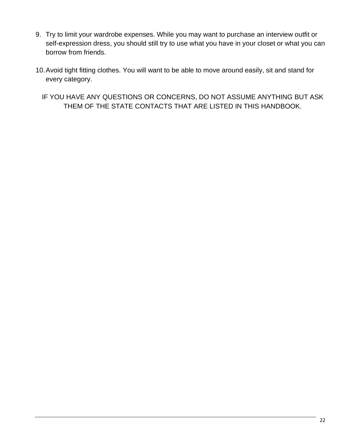- 9. Try to limit your wardrobe expenses. While you may want to purchase an interview outfit or self-expression dress, you should still try to use what you have in your closet or what you can borrow from friends.
- 10.Avoid tight fitting clothes. You will want to be able to move around easily, sit and stand for every category.
	- IF YOU HAVE ANY QUESTIONS OR CONCERNS, DO NOT ASSUME ANYTHING BUT ASK THEM OF THE STATE CONTACTS THAT ARE LISTED IN THIS HANDBOOK.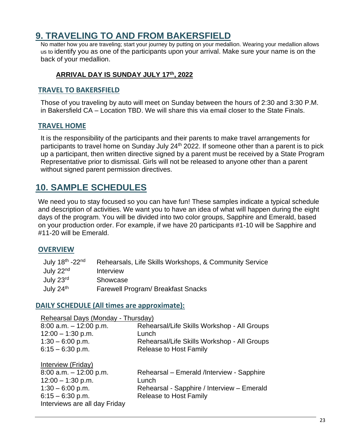# **9. TRAVELING TO AND FROM BAKERSFIELD**

No matter how you are traveling; start your journey by putting on your medallion. Wearing your medallion allows us to identify you as one of the participants upon your arrival. Make sure your name is on the back of your medallion.

#### **ARRIVAL DAY IS SUNDAY JULY 17th , 2022**

#### **TRAVEL TO BAKERSFIELD**

Those of you traveling by auto will meet on Sunday between the hours of 2:30 and 3:30 P.M. in Bakersfield CA – Location TBD. We will share this via email closer to the State Finals.

#### **TRAVEL HOME**

It is the responsibility of the participants and their parents to make travel arrangements for participants to travel home on Sunday July 24<sup>th</sup> 2022. If someone other than a parent is to pick up a participant, then written directive signed by a parent must be received by a State Program Representative prior to dismissal. Girls will not be released to anyone other than a parent without signed parent permission directives.

# **10. SAMPLE SCHEDULES**

We need you to stay focused so you can have fun! These samples indicate a typical schedule and description of activities. We want you to have an idea of what will happen during the eight days of the program. You will be divided into two color groups, Sapphire and Emerald, based on your production order. For example, if we have 20 participants #1-10 will be Sapphire and #11-20 will be Emerald.

#### **OVERVIEW**

| July $18^{\text{th}}$ -22 <sup>nd</sup> | Rehearsals, Life Skills Workshops, & Community Service |
|-----------------------------------------|--------------------------------------------------------|
| July $22nd$                             | <b>Interview</b>                                       |
| July 23rd                               | Showcase                                               |
| July $24th$                             | <b>Farewell Program/ Breakfast Snacks</b>              |

#### **DAILY SCHEDULE (All times are approximate):**

| Rehearsal Days (Monday - Thursday) |                                             |
|------------------------------------|---------------------------------------------|
| $8:00$ a.m. $-12:00$ p.m.          | Rehearsal/Life Skills Workshop - All Groups |
| $12:00 - 1:30$ p.m.                | Lunch                                       |
| $1:30 - 6:00$ p.m.                 | Rehearsal/Life Skills Workshop - All Groups |
| $6:15 - 6:30$ p.m.                 | <b>Release to Host Family</b>               |
| Interview (Friday)                 |                                             |
| $8:00$ a.m. $-12:00$ p.m.          | Rehearsal – Emerald /Interview - Sapphire   |
| $12:00 - 1:30$ p.m.                | Lunch                                       |
| $1:30 - 6:00$ p.m.                 | Rehearsal - Sapphire / Interview - Emerald  |
| $6:15 - 6:30$ p.m.                 | <b>Release to Host Family</b>               |
| Interviews are all day Friday      |                                             |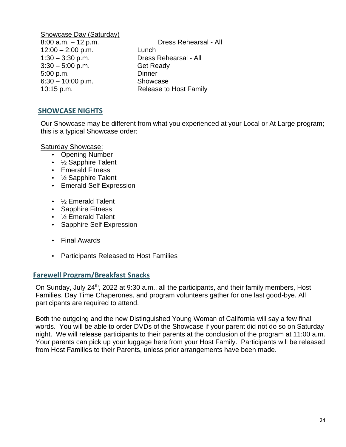Showcase Day (Saturday) 12:00 – 2:00 p.m. Lunch 1:30 – 3:30 p.m. Dress Rehearsal - All 3:30 – 5:00 p.m. Get Ready 5:00 p.m. Dinner 6:30 – 10:00 p.m. Showcase

8:00 a.m. – 12 p.m. Dress Rehearsal - All 10:15 p.m. Release to Host Family

#### **SHOWCASE NIGHTS**

Our Showcase may be different from what you experienced at your Local or At Large program; this is a typical Showcase order:

Saturday Showcase:

- Opening Number
- 1/<sub>2</sub> Sapphire Talent
- Emerald Fitness
- 1/<sub>2</sub> Sapphire Talent
- Emerald Self Expression
- ½ Emerald Talent
- Sapphire Fitness
- ½ Emerald Talent
- Sapphire Self Expression
- Final Awards
- Participants Released to Host Families

#### **Farewell Program/Breakfast Snacks**

On Sunday, July 24<sup>th</sup>, 2022 at 9:30 a.m., all the participants, and their family members, Host Families, Day Time Chaperones, and program volunteers gather for one last good-bye. All participants are required to attend.

Both the outgoing and the new Distinguished Young Woman of California will say a few final words. You will be able to order DVDs of the Showcase if your parent did not do so on Saturday night. We will release participants to their parents at the conclusion of the program at 11:00 a.m. Your parents can pick up your luggage here from your Host Family. Participants will be released from Host Families to their Parents, unless prior arrangements have been made.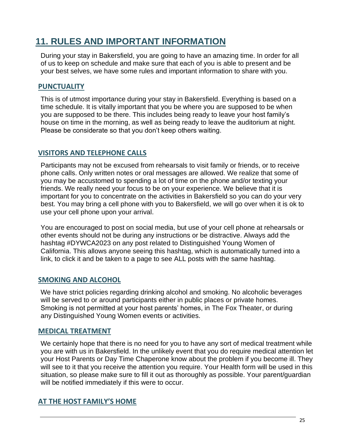# **11. RULES AND IMPORTANT INFORMATION**

During your stay in Bakersfield, you are going to have an amazing time. In order for all of us to keep on schedule and make sure that each of you is able to present and be your best selves, we have some rules and important information to share with you.

## **PUNCTUALITY**

This is of utmost importance during your stay in Bakersfield. Everything is based on a time schedule. It is vitally important that you be where you are supposed to be when you are supposed to be there. This includes being ready to leave your host family's house on time in the morning, as well as being ready to leave the auditorium at night. Please be considerate so that you don't keep others waiting.

#### **VISITORS AND TELEPHONE CALLS**

Participants may not be excused from rehearsals to visit family or friends, or to receive phone calls. Only written notes or oral messages are allowed. We realize that some of you may be accustomed to spending a lot of time on the phone and/or texting your friends. We really need your focus to be on your experience. We believe that it is important for you to concentrate on the activities in Bakersfield so you can do your very best. You may bring a cell phone with you to Bakersfield, we will go over when it is ok to use your cell phone upon your arrival.

You are encouraged to post on social media, but use of your cell phone at rehearsals or other events should not be during any instructions or be distractive. Always add the hashtag #DYWCA2023 on any post related to Distinguished Young Women of California. This allows anyone seeing this hashtag, which is automatically turned into a link, to click it and be taken to a page to see ALL posts with the same hashtag.

#### **SMOKING AND ALCOHOL**

We have strict policies regarding drinking alcohol and smoking. No alcoholic beverages will be served to or around participants either in public places or private homes. Smoking is not permitted at your host parents' homes, in The Fox Theater, or during any Distinguished Young Women events or activities.

#### **MEDICAL TREATMENT**

We certainly hope that there is no need for you to have any sort of medical treatment while you are with us in Bakersfield. In the unlikely event that you do require medical attention let your Host Parents or Day Time Chaperone know about the problem if you become ill. They will see to it that you receive the attention you require. Your Health form will be used in this situation, so please make sure to fill it out as thoroughly as possible. Your parent/guardian will be notified immediately if this were to occur.

## **AT THE HOST FAMILY'S HOME**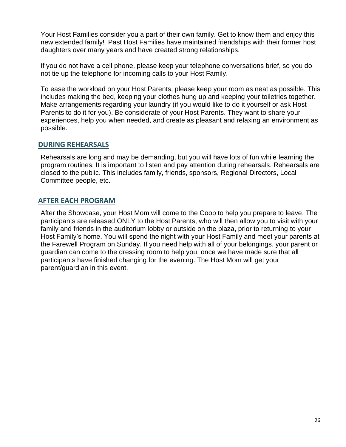Your Host Families consider you a part of their own family. Get to know them and enjoy this new extended family! Past Host Families have maintained friendships with their former host daughters over many years and have created strong relationships.

If you do not have a cell phone, please keep your telephone conversations brief, so you do not tie up the telephone for incoming calls to your Host Family.

To ease the workload on your Host Parents, please keep your room as neat as possible. This includes making the bed, keeping your clothes hung up and keeping your toiletries together. Make arrangements regarding your laundry (if you would like to do it yourself or ask Host Parents to do it for you). Be considerate of your Host Parents. They want to share your experiences, help you when needed, and create as pleasant and relaxing an environment as possible.

#### **DURING REHEARSALS**

Rehearsals are long and may be demanding, but you will have lots of fun while learning the program routines. It is important to listen and pay attention during rehearsals. Rehearsals are closed to the public. This includes family, friends, sponsors, Regional Directors, Local Committee people, etc.

#### **AFTER EACH PROGRAM**

After the Showcase, your Host Mom will come to the Coop to help you prepare to leave. The participants are released ONLY to the Host Parents, who will then allow you to visit with your family and friends in the auditorium lobby or outside on the plaza, prior to returning to your Host Family's home. You will spend the night with your Host Family and meet your parents at the Farewell Program on Sunday. If you need help with all of your belongings, your parent or guardian can come to the dressing room to help you, once we have made sure that all participants have finished changing for the evening. The Host Mom will get your parent/guardian in this event.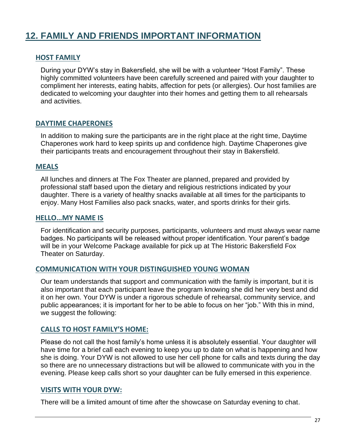# **12. FAMILY AND FRIENDS IMPORTANT INFORMATION**

#### **HOST FAMILY**

During your DYW's stay in Bakersfield, she will be with a volunteer "Host Family". These highly committed volunteers have been carefully screened and paired with your daughter to compliment her interests, eating habits, affection for pets (or allergies). Our host families are dedicated to welcoming your daughter into their homes and getting them to all rehearsals and activities.

## **DAYTIME CHAPERONES**

In addition to making sure the participants are in the right place at the right time, Daytime Chaperones work hard to keep spirits up and confidence high. Daytime Chaperones give their participants treats and encouragement throughout their stay in Bakersfield.

#### **MEALS**

All lunches and dinners at The Fox Theater are planned, prepared and provided by professional staff based upon the dietary and religious restrictions indicated by your daughter. There is a variety of healthy snacks available at all times for the participants to enjoy. Many Host Families also pack snacks, water, and sports drinks for their girls.

#### **HELLO…MY NAME IS**

For identification and security purposes, participants, volunteers and must always wear name badges. No participants will be released without proper identification. Your parent's badge will be in your Welcome Package available for pick up at The Historic Bakersfield Fox Theater on Saturday.

#### **COMMUNICATION WITH YOUR DISTINGUISHED YOUNG WOMAN**

Our team understands that support and communication with the family is important, but it is also important that each participant leave the program knowing she did her very best and did it on her own. Your DYW is under a rigorous schedule of rehearsal, community service, and public appearances; it is important for her to be able to focus on her "job." With this in mind, we suggest the following:

#### **CALLS TO HOST FAMILY'S HOME:**

Please do not call the host family's home unless it is absolutely essential. Your daughter will have time for a brief call each evening to keep you up to date on what is happening and how she is doing. Your DYW is not allowed to use her cell phone for calls and texts during the day so there are no unnecessary distractions but will be allowed to communicate with you in the evening. Please keep calls short so your daughter can be fully emersed in this experience.

#### **VISITS WITH YOUR DYW:**

There will be a limited amount of time after the showcase on Saturday evening to chat.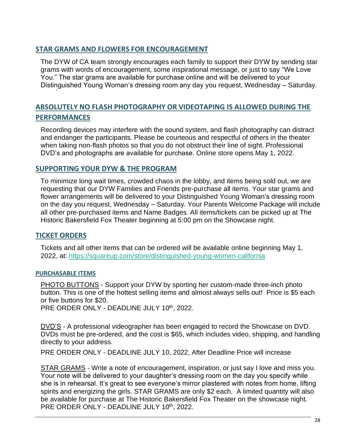#### **STAR GRAMS AND FLOWERS FOR ENCOURAGEMENT**

The DYW of CA team strongly encourages each family to support their DYW by sending star grams with words of encouragement, some inspirational message, or just to say "We Love You." The star grams are available for purchase online and will be delivered to your Distinguished Young Woman's dressing room any day you request, Wednesday – Saturday.

# **ABSOLUTELY NO FLASH PHOTOGRAPHY OR VIDEOTAPING IS ALLOWED DURING THE PERFORMANCES**

Recording devices may interfere with the sound system, and flash photography can distract and endanger the participants. Please be courteous and respectful of others in the theater when taking non-flash photos so that you do not obstruct their line of sight. Professional DVD's and photographs are available for purchase. Online store opens May 1, 2022.

#### **SUPPORTING YOUR DYW & THE PROGRAM**

To minimize long wait times, crowded chaos in the lobby, and items being sold out, we are requesting that our DYW Families and Friends pre-purchase all items. Your star grams and flower arrangements will be delivered to your Distinguished Young Woman's dressing room on the day you request, Wednesday – Saturday. Your Parents Welcome Package will include all other pre-purchased items and Name Badges. All items/tickets can be picked up at The Historic Bakersfield Fox Theater beginning at 5:00 pm on the Showcase night.

#### **TICKET ORDERS**

`

Tickets and all other items that can be ordered will be available online beginning May 1, 2022, at:<https://squareup.com/store/distinguished-young-women-california>

#### **PURCHASABLE ITEMS**

PHOTO BUTTONS - Support your DYW by sporting her custom-made three-inch photo button. This is one of the hottest selling items and almost always sells out! Price is \$5 each or five buttons for \$20.

PRE ORDER ONLY - DEADLINE JULY 10th, 2022.

DVD'S - A professional videographer has been engaged to record the Showcase on DVD. DVDs must be pre-ordered, and the cost is \$65, which includes video, shipping, and handling directly to your address.

PRE ORDER ONLY - DEADLINE JULY 10, 2022, After Deadline Price will increase

STAR GRAMS - Write a note of encouragement, inspiration, or just say I love and miss you. Your note will be delivered to your daughter's dressing room on the day you specify while she is in rehearsal. It's great to see everyone's mirror plastered with notes from home, lifting spirits and energizing the girls. STAR GRAMS are only \$2 each. A limited quantity will also be available for purchase at The Historic Bakersfield Fox Theater on the showcase night. PRE ORDER ONLY - DEADLINE JULY 10<sup>th</sup>, 2022.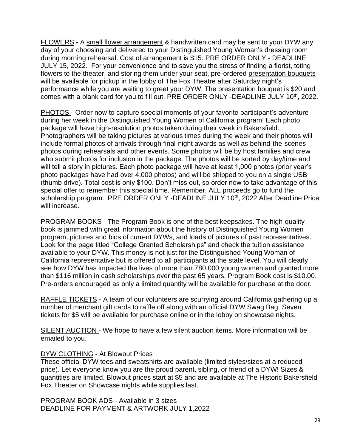FLOWERS - A small flower arrangement & handwritten card may be sent to your DYW any day of your choosing and delivered to your Distinguished Young Woman's dressing room during morning rehearsal. Cost of arrangement is \$15. PRE ORDER ONLY - DEADLINE JULY 15, 2022. For your convenience and to save you the stress of finding a florist, toting flowers to the theater, and storing them under your seat, pre-ordered presentation bouquets will be available for pickup in the lobby of The Fox Theatre after Saturday night's performance while you are waiting to greet your DYW. The presentation bouquet is \$20 and comes with a blank card for you to fill out. PRE ORDER ONLY -DEADLINE JULY 10<sup>th</sup>, 2022.

PHOTOS - Order now to capture special moments of your favorite participant's adventure during her week in the Distinguished Young Women of California program! Each photo package will have high-resolution photos taken during their week in Bakersfield. Photographers will be taking pictures at various times during the week and their photos will include formal photos of arrivals through final-night awards as well as behind-the-scenes photos during rehearsals and other events. Some photos will be by host families and crew who submit photos for inclusion in the package. The photos will be sorted by day/time and will tell a story in pictures. Each photo package will have at least 1,000 photos (prior year's photo packages have had over 4,000 photos) and will be shipped to you on a single USB (thumb drive). Total cost is only \$100. Don't miss out, so order now to take advantage of this special offer to remember this special time. Remember, ALL proceeds go to fund the scholarship program. PRE ORDER ONLY -DEADLINE JULY 10<sup>th</sup>, 2022 After Deadline Price will increase.

PROGRAM BOOKS - The Program Book is one of the best keepsakes. The high-quality book is jammed with great information about the history of Distinguished Young Women program, pictures and bios of current DYWs, and loads of pictures of past representatives. Look for the page titled "College Granted Scholarships" and check the tuition assistance available to your DYW. This money is not just for the Distinguished Young Woman of California representative but is offered to all participants at the state level. You will clearly see how DYW has impacted the lives of more than 780,000 young women and granted more than \$116 million in cash scholarships over the past 65 years. Program Book cost is \$10.00. Pre-orders encouraged as only a limited quantity will be available for purchase at the door.

RAFFLE TICKETS - A team of our volunteers are scurrying around California gathering up a number of merchant gift cards to raffle off along with an official DYW Swag Bag. Seven tickets for \$5 will be available for purchase online or in the lobby on showcase nights.

SILENT AUCTION - We hope to have a few silent auction items. More information will be emailed to you.

#### DYW CLOTHING - At Blowout Prices

These official DYW tees and sweatshirts are available (limited styles/sizes at a reduced price). Let everyone know you are the proud parent, sibling, or friend of a DYW! Sizes & quantities are limited. Blowout prices start at \$5 and are available at The Historic Bakersfield Fox Theater on Showcase nights while supplies last.

PROGRAM BOOK ADS - Available in 3 sizes DEADLINE FOR PAYMENT & ARTWORK JULY 1,2022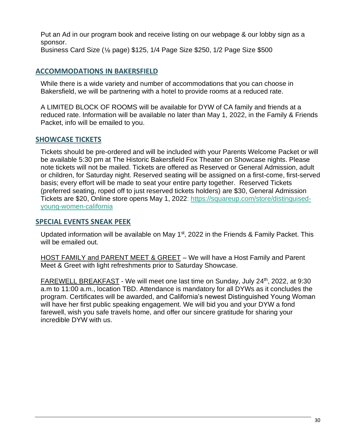Put an Ad in our program book and receive listing on our webpage & our lobby sign as a sponsor. Business Card Size (⅛ page) \$125, 1/4 Page Size \$250, 1/2 Page Size \$500

## **ACCOMMODATIONS IN BAKERSFIELD**

While there is a wide variety and number of accommodations that you can choose in Bakersfield, we will be partnering with a hotel to provide rooms at a reduced rate.

A LIMITED BLOCK OF ROOMS will be available for DYW of CA family and friends at a reduced rate. Information will be available no later than May 1, 2022, in the Family & Friends Packet, info will be emailed to you.

#### **SHOWCASE TICKETS**

Tickets should be pre-ordered and will be included with your Parents Welcome Packet or will be available 5:30 pm at The Historic Bakersfield Fox Theater on Showcase nights. Please note tickets will not be mailed. Tickets are offered as Reserved or General Admission, adult or children, for Saturday night. Reserved seating will be assigned on a first-come, first-served basis; every effort will be made to seat your entire party together. Reserved Tickets (preferred seating, roped off to just reserved tickets holders) are \$30, General Admission Tickets are \$20, Online store opens May 1, 2022: [https://squareup.com/store/distinguised](https://squareup.com/store/distinguised-young-women-california)[young-women-california](https://squareup.com/store/distinguised-young-women-california)

#### **SPECIAL EVENTS SNEAK PEEK**

Updated information will be available on May  $1<sup>st</sup>$ , 2022 in the Friends & Family Packet. This will be emailed out.

HOST FAMILY and PARENT MEET & GREET – We will have a Host Family and Parent Meet & Greet with light refreshments prior to Saturday Showcase.

FAREWELL BREAKFAST - We will meet one last time on Sunday, July 24<sup>th</sup>, 2022, at 9:30 a.m to 11:00 a.m., location TBD. Attendance is mandatory for all DYWs as it concludes the program. Certificates will be awarded, and California's newest Distinguished Young Woman will have her first public speaking engagement. We will bid you and your DYW a fond farewell, wish you safe travels home, and offer our sincere gratitude for sharing your incredible DYW with us.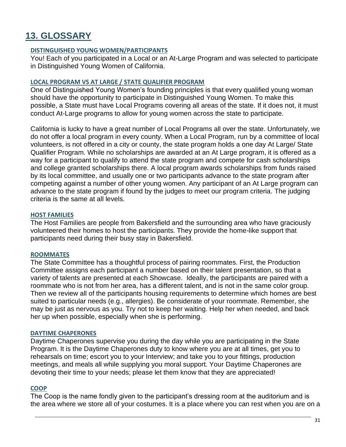# **13. GLOSSARY**

#### **DISTINGUISHED YOUNG WOMEN/PARTICIPANTS**

You! Each of you participated in a Local or an At-Large Program and was selected to participate in Distinguished Young Women of California.

#### **LOCAL PROGRAM VS AT LARGE / STATE QUALIFIER PROGRAM**

One of Distinguished Young Women's founding principles is that every qualified young woman should have the opportunity to participate in Distinguished Young Women. To make this possible, a State must have Local Programs covering all areas of the state. If it does not, it must conduct At-Large programs to allow for young women across the state to participate.

California is lucky to have a great number of Local Programs all over the state. Unfortunately, we do not offer a local program in every county. When a Local Program, run by a committee of local volunteers, is not offered in a city or county, the state program holds a one day At Large/ State Qualifier Program. While no scholarships are awarded at an At Large program, it is offered as a way for a participant to qualify to attend the state program and compete for cash scholarships and college granted scholarships there. A local program awards scholarships from funds raised by its local committee, and usually one or two participants advance to the state program after competing against a number of other young women. Any participant of an At Large program can advance to the state program if found by the judges to meet our program criteria. The judging criteria is the same at all levels.

#### **HOST FAMILIES**

The Host Families are people from Bakersfield and the surrounding area who have graciously volunteered their homes to host the participants. They provide the home-like support that participants need during their busy stay in Bakersfield.

#### **ROOMMATES**

The State Committee has a thoughtful process of pairing roommates. First, the Production Committee assigns each participant a number based on their talent presentation, so that a variety of talents are presented at each Showcase. Ideally, the participants are paired with a roommate who is not from her area, has a different talent, and is not in the same color group. Then we review all of the participants housing requirements to determine which homes are best suited to particular needs (e.g., allergies). Be considerate of your roommate. Remember, she may be just as nervous as you. Try not to keep her waiting. Help her when needed, and back her up when possible, especially when she is performing.

#### **DAYTIME CHAPERONES**

Daytime Chaperones supervise you during the day while you are participating in the State Program. It is the Daytime Chaperones duty to know where you are at all times, get you to rehearsals on time; escort you to your Interview; and take you to your fittings, production meetings, and meals all while supplying you moral support. Your Daytime Chaperones are devoting their time to your needs; please let them know that they are appreciated!

#### **COOP**

The Coop is the name fondly given to the participant's dressing room at the auditorium and is the area where we store all of your costumes. It is a place where you can rest when you are on a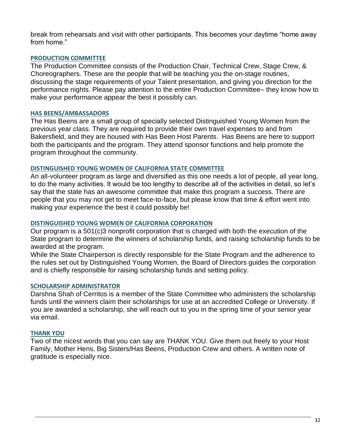break from rehearsals and visit with other participants. This becomes your daytime "home away from home."

#### **PRODUCTION COMMITTEE**

The Production Committee consists of the Production Chair, Technical Crew, Stage Crew, & Choreographers. These are the people that will be teaching you the on-stage routines, discussing the stage requirements of your Talent presentation, and giving you direction for the performance nights. Please pay attention to the entire Production Committee– they know how to make your performance appear the best it possibly can.

#### **HAS BEENS/AMBASSADORS**

The Has Beens are a small group of specially selected Distinguished Young Women from the previous year class. They are required to provide their own travel expenses to and from Bakersfield, and they are housed with Has Been Host Parents. Has Beens are here to support both the participants and the program. They attend sponsor functions and help promote the program throughout the community.

#### **DISTINGUISHED YOUNG WOMEN OF CALIFORNIA STATE COMMITTEE**

An all-volunteer program as large and diversified as this one needs a lot of people, all year long, to do the many activities. It would be too lengthy to describe all of the activities in detail, so let's say that the state has an awesome committee that make this program a success. There are people that you may not get to meet face-to-face, but please know that time & effort went into making your experience the best it could possibly be!

#### **DISTINGUISHED YOUNG WOMEN OF CALIFORNIA CORPORATION**

Our program is a 501(c)3 nonprofit corporation that is charged with both the execution of the State program to determine the winners of scholarship funds, and raising scholarship funds to be awarded at the program.

While the State Chairperson is directly responsible for the State Program and the adherence to the rules set out by Distinguished Young Women, the Board of Directors guides the corporation and is chiefly responsible for raising scholarship funds and setting policy.

#### **SCHOLARSHIP ADMINISTRATOR**

Darshna Shah of Cerritos is a member of the State Committee who administers the scholarship funds until the winners claim their scholarships for use at an accredited College or University. If you are awarded a scholarship, she will reach out to you in the spring time of your senior year via email.

#### **THANK YOU**

Two of the nicest words that you can say are THANK YOU. Give them out freely to your Host Family, Mother Hens, Big Sisters/Has Beens, Production Crew and others. A written note of gratitude is especially nice.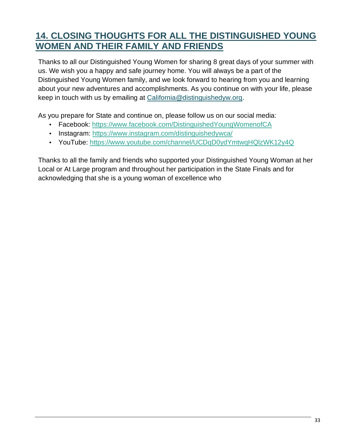# **14. CLOSING THOUGHTS FOR ALL THE DISTINGUISHED YOUNG WOMEN AND THEIR FAMILY AND FRIENDS**

Thanks to all our Distinguished Young Women for sharing 8 great days of your summer with us. We wish you a happy and safe journey home. You will always be a part of the Distinguished Young Women family, and we look forward to hearing from you and learning about your new adventures and accomplishments. As you continue on with your life, please keep in touch with us by emailing at [California@distinguishedyw.org.](mailto:California@distinguishedyw.org)

As you prepare for State and continue on, please follow us on our social media:

- Facebook:<https://www.facebook.com/DistinguishedYoungWomenofCA>
- Instagram: https://www.instagram.com/distinguishedywca/
- YouTube: https://www.youtube.com/channel/UCDqD0ydYmtwqHQlzWK12y4Q

Thanks to all the family and friends who supported your Distinguished Young Woman at her Local or At Large program and throughout her participation in the State Finals and for acknowledging that she is a young woman of excellence who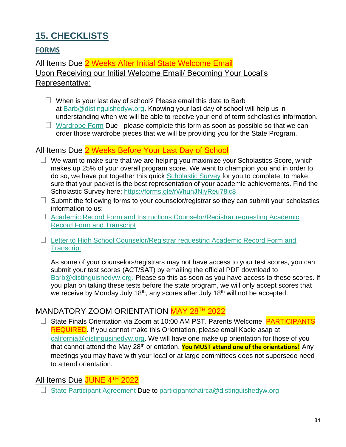# **15. CHECKLISTS**

# **FORMS**

All Items Due 2 Weeks After Initial State Welcome Email Upon Receiving our Initial Welcome Email/ Becoming Your Local's Representative:

- **•** When is your last day of school? Please email this date to Barb at [Barb@distinguishedyw.org.](mailto:Barb@distinguishedyw.org) Knowing your last day of school will help us in understanding when we will be able to receive your end of term scholastics information.
- **•** [Wardrobe Form](https://forms.gle/8VSRNwNvp5Cc3VVF8) Due please complete this form as soon as possible so that we can order those wardrobe pieces that we will be providing you for the State Program.

# All Items Due 2 Weeks Before Your Last Day of School

- **•** We want to make sure that we are helping you maximize your Scholastics Score, which makes up 25% of your overall program score. We want to champion you and in order to do so, we have put together this quick [Scholastic Survey](https://docs.google.com/forms/d/e/1FAIpQLSfdKNj4nQG02sV12OR8ZCATJKtVfN0lxJudpGD25k7Zx_MPjA/viewform?usp=sf_link) for you to complete, to make sure that your packet is the best representation of your academic achievements. Find the Scholastic Survey here:<https://forms.gle/rWhuhJNjyReu78ic8>
- **•** Submit the following forms to your counselor/registrar so they can submit your scholastics information to us:
- **•** [Academic Record Form and Instructions Counselor/Registrar requesting Academic](http://ca.distinguishedyw.org/wp-content/uploads/sites/5/2016/04/Academic-Form-Instructions-Class-of-2023-State.pdf)  [Record Form and Transcript](http://ca.distinguishedyw.org/wp-content/uploads/sites/5/2016/04/Academic-Form-Instructions-Class-of-2023-State.pdf)
- **•** [Letter to High School Counselor/Registrar requesting Academic Record Form and](http://ca.distinguishedyw.org/wp-content/uploads/sites/5/2016/04/Letter-to-High-School-CounselorRegistrar-requesting-Academic-Record-Form-and-Transcript.pdf)  **[Transcript](http://ca.distinguishedyw.org/wp-content/uploads/sites/5/2016/04/Letter-to-High-School-CounselorRegistrar-requesting-Academic-Record-Form-and-Transcript.pdf)**

As some of your counselors/registrars may not have access to your test scores, you can submit your test scores (ACT/SAT) by emailing the official PDF download to [Barb@distinguishedyw.org.](mailto:Barb@distinguishedyw.org) Please so this as soon as you have access to these scores. If you plan on taking these tests before the state program, we will only accept scores that we receive by Monday July 18<sup>th</sup>, any scores after July 18<sup>th</sup> will not be accepted.

# MANDATORY ZOOM ORIENTATION MAY 28TH 2022

**•** State Finals Orientation via Zoom at 10:00 AM PST. Parents Welcome, PARTICIPANTS REQUIRED. If you cannot make this Orientation, please email Kacie asap at [california@distingusihedyw.org.](mailto:california@distingusihedyw.org) We will have one make up orientation for those of you that cannot attend the May 28<sup>th</sup> orientation. You MUST attend one of the orientations! Any meetings you may have with your local or at large committees does not supersede need to attend orientation.

# All Items Due JUNE 4TH 2022

**•** [State Participant Agreement](http://ca.distinguishedyw.org/wp-content/uploads/sites/5/2016/04/2023-State-Participant-Agreement_eSign_3.2022.pdf) Due to [participantchairca@distinguishedyw.org](mailto:participantchairca@distinguishedyw.org)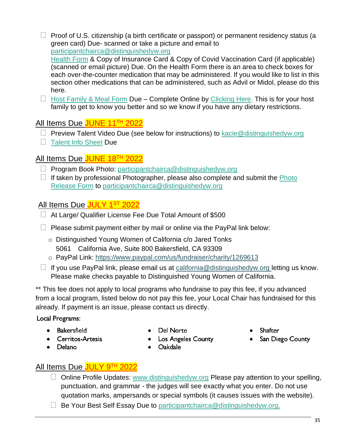**•** Proof of U.S. citizenship (a birth certificate or passport) or permanent residency status (a green card) Due- scanned or take a picture and email to [participantchairca@distinguishedyw.org](mailto:participantchairca@distinguishedyw.org)

[Health Form](http://ca.distinguishedyw.org/wp-content/uploads/sites/5/2016/04/Health-Form_04.2021.pdf) & Copy of Insurance Card & Copy of Covid Vaccination Card (if applicable) (scanned or email picture) Due. On the Health Form there is an area to check boxes for each over-the-counter medication that may be administered. If you would like to list in this section other medications that can be administered, such as Advil or Midol, please do this here.

**•** [Host Family & Meal Form](https://docs.google.com/forms/d/e/1FAIpQLSevUxzlaLsy0EfH49p3LENBeQwCsZzY2TbQs7vyuppiNgH16A/viewform?usp=sf_link) Due – Complete Online by [Clicking Here.](https://docs.google.com/forms/d/e/1FAIpQLSevUxzlaLsy0EfH49p3LENBeQwCsZzY2TbQs7vyuppiNgH16A/viewform?usp=sf_link) This is for your host family to get to know you better and so we know if you have any dietary restrictions.

# All Items Due JUNE 11<sup>TH</sup> 2022

- **•** Preview Talent Video Due (see below for instructions) to [kacie@distinguishedyw.org](mailto:kacie@distinguishedyw.org)
- **•** [Talent Info Sheet](https://docs.google.com/forms/d/e/1FAIpQLScPbDN5FDjekd2sGh-MhvLnSncbX2lfQdYtmRGfAo6mwbD4Wg/viewform?usp=sf_link) Due

# All Items Due JUNE 18TH 2022

- **•** Program Book Photo: [participantchairca@distinguishedyw.org](mailto:participantchairca@distinguishedyw.org)
- **•** If taken by professional Photographer, please also complete and submit the [Photo](http://ca.distinguishedyw.org/wp-content/uploads/sites/5/2016/04/Photo-Release-DYW-CA.pdf)  [Release Form](http://ca.distinguishedyw.org/wp-content/uploads/sites/5/2016/04/Photo-Release-DYW-CA.pdf) to [participantchairca@distinguishedyw.org](mailto:participantchairca@distinguishedyw.org)

# All Items Due <mark>JULY 1<sup>st</sup> 2022</mark>

- **•** At Large/ Qualifier License Fee Due Total Amount of \$500
- **•** Please submit payment either by mail or online via the PayPal link below:
	- o Distinguished Young Women of California c/o Jared Tonks 5061 California Ave, Suite 800 Bakersfield, CA 93309
	- o PayPal Link:<https://www.paypal.com/us/fundraiser/charity/1269613>
- **•** If you use PayPal link, please email us at [california@distinguishedyw.org](mailto:california@distinguishedyw.org) letting us know. Please make checks payable to Distinguished Young Women of California.

\*\* This fee does not apply to local programs who fundraise to pay this fee, if you advanced from a local program, listed below do not pay this fee, your Local Chair has fundraised for this already. If payment is an issue, please contact us directly.

Local Programs:

- Bakersfield
- Cerritos-Artesia
- Del Norte
- Los Angeles County
- Shafter
- San Diego County

Delano

Oakdale

# All Items Due JULY 9TH 2022

- **•** Online Profile Updates: [www.distinguishedyw.org](http://www.distinguishedyw.org/) Please pay attention to your spelling, punctuation, and grammar - the judges will see exactly what you enter. Do not use quotation marks, ampersands or special symbols (it causes issues with the website).
- **•** Be Your Best Self Essay Due to [participantchairca@distinguishedyw.org.](mailto:participantchairca@distinguishedyw.org)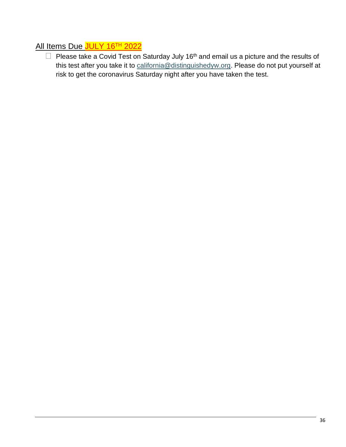# All Items Due JULY 16<sup>TH</sup> 2022

• Please take a Covid Test on Saturday July 16<sup>th</sup> and email us a picture and the results of this test after you take it to [california@distinguishedyw.org.](mailto:california@distinguishedyw.org) Please do not put yourself at risk to get the coronavirus Saturday night after you have taken the test.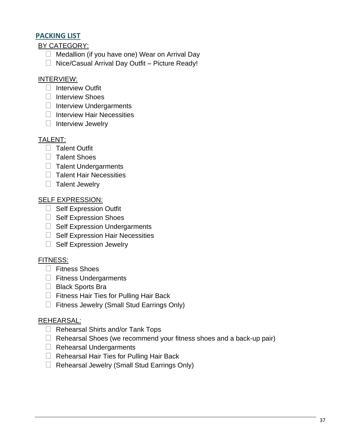#### **PACKING LIST**

BY CATEGORY:

- **•** Medallion (if you have one) Wear on Arrival Day
- **•** Nice/Casual Arrival Day Outfit Picture Ready!

## INTERVIEW:

- **•** Interview Outfit
- **•** Interview Shoes
- **•** Interview Undergarments
- **•** Interview Hair Necessities
- **•** Interview Jewelry

## TALENT:

- **•** Talent Outfit
- **•** Talent Shoes
- **•** Talent Undergarments
- **•** Talent Hair Necessities
- **•** Talent Jewelry

#### SELF EXPRESSION:

- **•** Self Expression Outfit
- **•** Self Expression Shoes
- **•** Self Expression Undergarments
- **•** Self Expression Hair Necessities
- **•** Self Expression Jewelry

## FITNESS:

- **•** Fitness Shoes
- **•** Fitness Undergarments
- **•** Black Sports Bra
- **•** Fitness Hair Ties for Pulling Hair Back
- **•** Fitness Jewelry (Small Stud Earrings Only)

## REHEARSAL:

- **•** Rehearsal Shirts and/or Tank Tops
- **•** Rehearsal Shoes (we recommend your fitness shoes and a back-up pair)
- **•** Rehearsal Undergarments
- **•** Rehearsal Hair Ties for Pulling Hair Back
- **•** Rehearsal Jewelry (Small Stud Earrings Only)